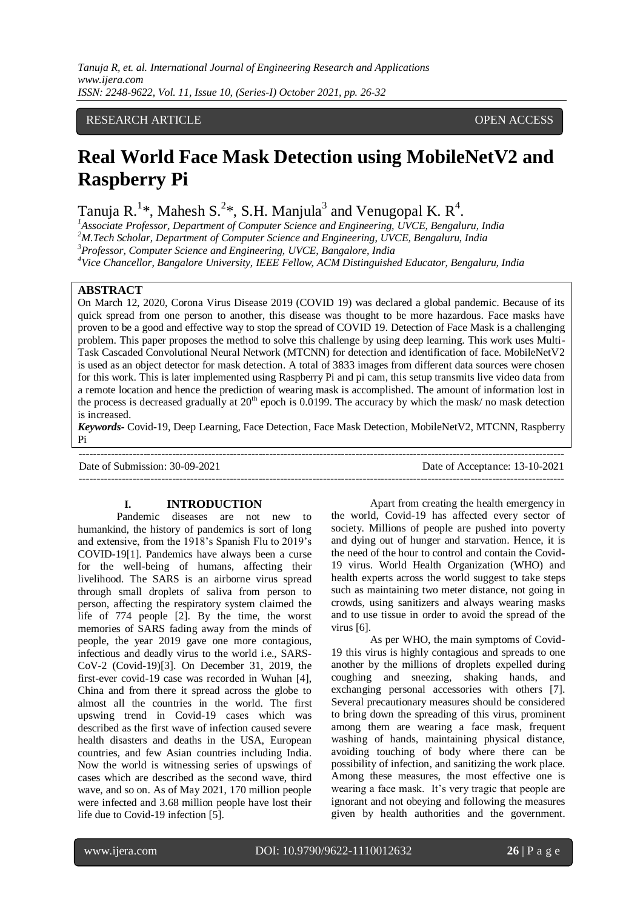# RESEARCH ARTICLE **CONTRACT OPEN ACCESS**

# **Real World Face Mask Detection using MobileNetV2 and Raspberry Pi**

Tanuja R.<sup>1\*</sup>, Mahesh S.<sup>2\*</sup>, S.H. Manjula<sup>3</sup> and Venugopal K. R<sup>4</sup>.

*<sup>1</sup>Associate Professor, Department of Computer Science and Engineering, UVCE, Bengaluru, India*

*<sup>2</sup>M.Tech Scholar, Department of Computer Science and Engineering, UVCE, Bengaluru, India*

*<sup>3</sup>Professor, Computer Science and Engineering, UVCE, Bangalore, India*

*<sup>4</sup>Vice Chancellor, Bangalore University, IEEE Fellow, ACM Distinguished Educator, Bengaluru, India*

# **ABSTRACT**

On March 12, 2020, Corona Virus Disease 2019 (COVID 19) was declared a global pandemic. Because of its quick spread from one person to another, this disease was thought to be more hazardous. Face masks have proven to be a good and effective way to stop the spread of COVID 19. Detection of Face Mask is a challenging problem. This paper proposes the method to solve this challenge by using deep learning. This work uses Multi-Task Cascaded Convolutional Neural Network (MTCNN) for detection and identification of face. MobileNetV2 is used as an object detector for mask detection. A total of 3833 images from different data sources were chosen for this work. This is later implemented using Raspberry Pi and pi cam, this setup transmits live video data from a remote location and hence the prediction of wearing mask is accomplished. The amount of information lost in the process is decreased gradually at  $20<sup>th</sup>$  epoch is 0.0199. The accuracy by which the mask/ no mask detection is increased.

*Keywords-* Covid-19, Deep Learning, Face Detection, Face Mask Detection, MobileNetV2, MTCNN, Raspberry Pi

---------------------------------------------------------------------------------------------------------------------------------------

Date of Submission: 30-09-2021 Date of Acceptance: 13-10-2021

---------------------------------------------------------------------------------------------------------------------------------------

## **I. INTRODUCTION**

Pandemic diseases are not new to humankind, the history of pandemics is sort of long and extensive, from the 1918's Spanish Flu to 2019's COVID-19[1]. Pandemics have always been a curse for the well-being of humans, affecting their livelihood. The SARS is an airborne virus spread through small droplets of saliva from person to person, affecting the respiratory system claimed the life of 774 people [2]. By the time, the worst memories of SARS fading away from the minds of people, the year 2019 gave one more contagious, infectious and deadly virus to the world i.e., SARS-CoV-2 (Covid-19)[3]. On December 31, 2019, the first-ever covid-19 case was recorded in Wuhan [4], China and from there it spread across the globe to almost all the countries in the world. The first upswing trend in Covid-19 cases which was described as the first wave of infection caused severe health disasters and deaths in the USA, European countries, and few Asian countries including India. Now the world is witnessing series of upswings of cases which are described as the second wave, third wave, and so on. As of May 2021, 170 million people were infected and 3.68 million people have lost their life due to Covid-19 infection [5].

Apart from creating the health emergency in the world, Covid-19 has affected every sector of society. Millions of people are pushed into poverty and dying out of hunger and starvation. Hence, it is the need of the hour to control and contain the Covid-19 virus. World Health Organization (WHO) and health experts across the world suggest to take steps such as maintaining two meter distance, not going in crowds, using sanitizers and always wearing masks and to use tissue in order to avoid the spread of the virus [6].

As per WHO, the main symptoms of Covid-19 this virus is highly contagious and spreads to one another by the millions of droplets expelled during coughing and sneezing, shaking hands, and exchanging personal accessories with others [7]. Several precautionary measures should be considered to bring down the spreading of this virus, prominent among them are wearing a face mask, frequent washing of hands, maintaining physical distance, avoiding touching of body where there can be possibility of infection, and sanitizing the work place. Among these measures, the most effective one is wearing a face mask. It's very tragic that people are ignorant and not obeying and following the measures given by health authorities and the government.

l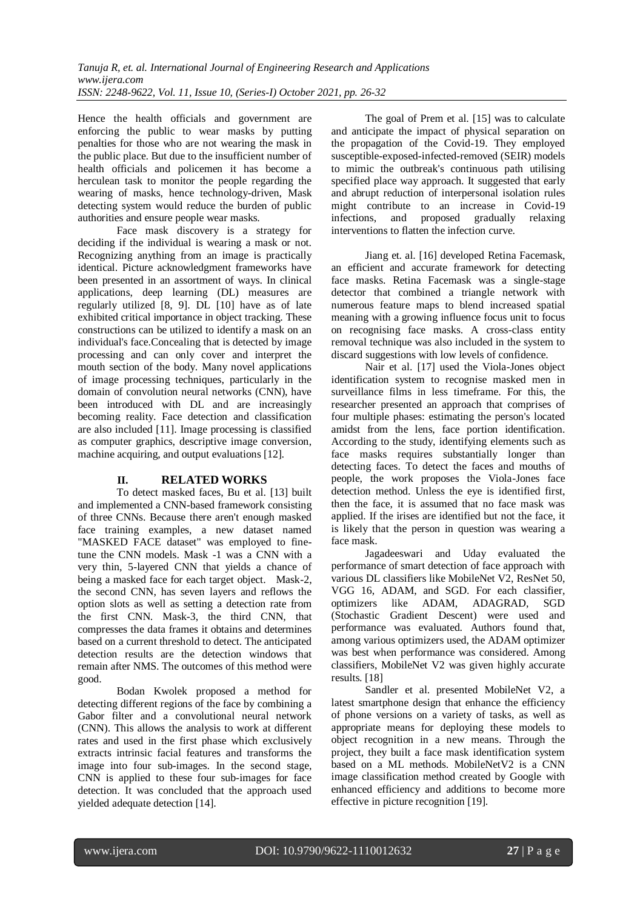Hence the health officials and government are enforcing the public to wear masks by putting penalties for those who are not wearing the mask in the public place. But due to the insufficient number of health officials and policemen it has become a herculean task to monitor the people regarding the wearing of masks, hence technology-driven, Mask detecting system would reduce the burden of public authorities and ensure people wear masks.

Face mask discovery is a strategy for deciding if the individual is wearing a mask or not. Recognizing anything from an image is practically identical. Picture acknowledgment frameworks have been presented in an assortment of ways. In clinical applications, deep learning (DL) measures are regularly utilized [8, 9]. DL [10] have as of late exhibited critical importance in object tracking. These constructions can be utilized to identify a mask on an individual's face.Concealing that is detected by image processing and can only cover and interpret the mouth section of the body. Many novel applications of image processing techniques, particularly in the domain of convolution neural networks (CNN), have been introduced with DL and are increasingly becoming reality. Face detection and classification are also included [11]. Image processing is classified as computer graphics, descriptive image conversion, machine acquiring, and output evaluations [12].

# **II. RELATED WORKS**

To detect masked faces, Bu et al. [13] built and implemented a CNN-based framework consisting of three CNNs. Because there aren't enough masked face training examples, a new dataset named "MASKED FACE dataset" was employed to finetune the CNN models. Mask -1 was a CNN with a very thin, 5-layered CNN that yields a chance of being a masked face for each target object. Mask-2, the second CNN, has seven layers and reflows the option slots as well as setting a detection rate from the first CNN. Mask-3, the third CNN, that compresses the data frames it obtains and determines based on a current threshold to detect. The anticipated detection results are the detection windows that remain after NMS. The outcomes of this method were good.

Bodan Kwolek proposed a method for detecting different regions of the face by combining a Gabor filter and a convolutional neural network (CNN). This allows the analysis to work at different rates and used in the first phase which exclusively extracts intrinsic facial features and transforms the image into four sub-images. In the second stage, CNN is applied to these four sub-images for face detection. It was concluded that the approach used yielded adequate detection [14].

The goal of Prem et al. [15] was to calculate and anticipate the impact of physical separation on the propagation of the Covid-19. They employed susceptible-exposed-infected-removed (SEIR) models to mimic the outbreak's continuous path utilising specified place way approach. It suggested that early and abrupt reduction of interpersonal isolation rules might contribute to an increase in Covid-19 infections, and proposed gradually relaxing interventions to flatten the infection curve.

Jiang et. al. [16] developed Retina Facemask, an efficient and accurate framework for detecting face masks. Retina Facemask was a single-stage detector that combined a triangle network with numerous feature maps to blend increased spatial meaning with a growing influence focus unit to focus on recognising face masks. A cross-class entity removal technique was also included in the system to discard suggestions with low levels of confidence.

Nair et al. [17] used the Viola-Jones object identification system to recognise masked men in surveillance films in less timeframe. For this, the researcher presented an approach that comprises of four multiple phases: estimating the person's located amidst from the lens, face portion identification. According to the study, identifying elements such as face masks requires substantially longer than detecting faces. To detect the faces and mouths of people, the work proposes the Viola-Jones face detection method. Unless the eye is identified first, then the face, it is assumed that no face mask was applied. If the irises are identified but not the face, it is likely that the person in question was wearing a face mask.

Jagadeeswari and Uday evaluated the performance of smart detection of face approach with various DL classifiers like MobileNet V2, ResNet 50, VGG 16, ADAM, and SGD. For each classifier, optimizers like ADAM, ADAGRAD, SGD (Stochastic Gradient Descent) were used and performance was evaluated. Authors found that, among various optimizers used, the ADAM optimizer was best when performance was considered. Among classifiers, MobileNet V2 was given highly accurate results. [18]

Sandler et al. presented MobileNet V2, a latest smartphone design that enhance the efficiency of phone versions on a variety of tasks, as well as appropriate means for deploying these models to object recognition in a new means. Through the project, they built a face mask identification system based on a ML methods. MobileNetV2 is a CNN image classification method created by Google with enhanced efficiency and additions to become more effective in picture recognition [19].

l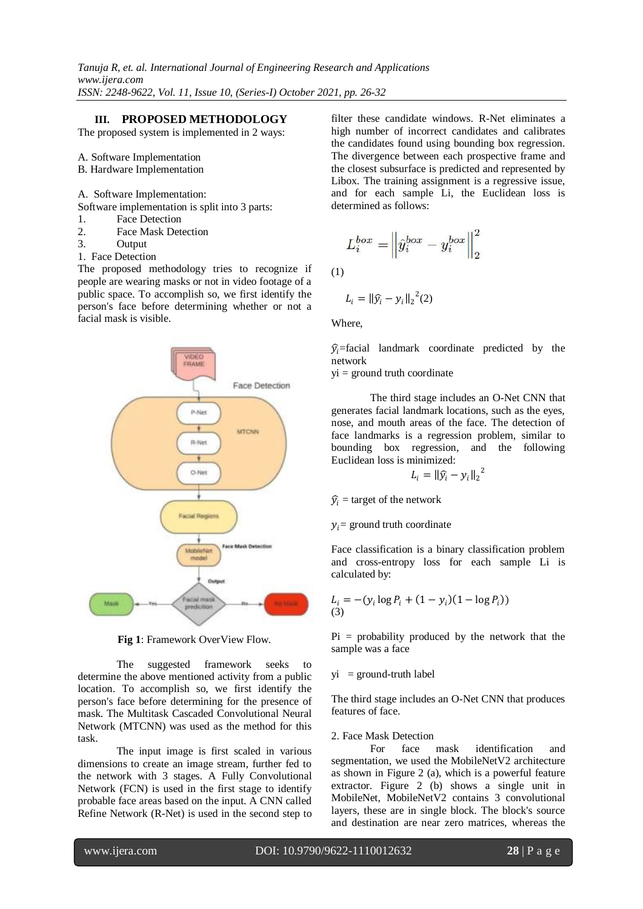# **III. PROPOSED METHODOLOGY**

The proposed system is implemented in 2 ways:

A. Software Implementation

- B. Hardware Implementation
- A. Software Implementation:
- Software implementation is split into 3 parts:
- 1. Face Detection<br>2. Face Mask Det
- Face Mask Detection
- 3. Output
- 1. Face Detection

The proposed methodology tries to recognize if people are wearing masks or not in video footage of a public space. To accomplish so, we first identify the person's face before determining whether or not a facial mask is visible.



**Fig 1**: Framework OverView Flow.

The suggested framework seeks to determine the above mentioned activity from a public location. To accomplish so, we first identify the person's face before determining for the presence of mask. The Multitask Cascaded Convolutional Neural Network (MTCNN) was used as the method for this task.

The input image is first scaled in various dimensions to create an image stream, further fed to the network with 3 stages. A Fully Convolutional Network (FCN) is used in the first stage to identify probable face areas based on the input. A CNN called Refine Network (R-Net) is used in the second step to

filter these candidate windows. R-Net eliminates a high number of incorrect candidates and calibrates the candidates found using bounding box regression. The divergence between each prospective frame and the closest subsurface is predicted and represented by Libox. The training assignment is a regressive issue, and for each sample Li, the Euclidean loss is determined as follows:

$$
L_i^{box} = \left\| \hat{y}_i^{box} - y_i^{box} \right\|_2^2
$$

(1)

$$
L_i = \left\| \widehat{y}_i - y_i \right\|_2^2(2)
$$

Where,

 $\hat{y}_i$ =facial landmark coordinate predicted by the network

 $yi = ground$  truth coordinate

The third stage includes an O-Net CNN that generates facial landmark locations, such as the eyes, nose, and mouth areas of the face. The detection of face landmarks is a regression problem, similar to bounding box regression, and the following Euclidean loss is minimized:

$$
L_i = \|\widehat{y}_i - y_i\|_2^2
$$

 $\hat{y}_i$  = target of the network

 $y_i$  = ground truth coordinate

Face classification is a binary classification problem and cross-entropy loss for each sample Li is calculated by:

$$
L_i = -(y_i \log P_i + (1 - y_i)(1 - \log P_i))
$$
  
(3)

 $Pi =$  probability produced by the network that the sample was a face

 $yi = ground-truth label$ 

The third stage includes an O-Net CNN that produces features of face.

#### 2. Face Mask Detection

For face mask identification and segmentation, we used the MobileNetV2 architecture as shown in Figure 2 (a), which is a powerful feature extractor. Figure 2 (b) shows a single unit in MobileNet, MobileNetV2 contains 3 convolutional layers, these are in single block. The block's source and destination are near zero matrices, whereas the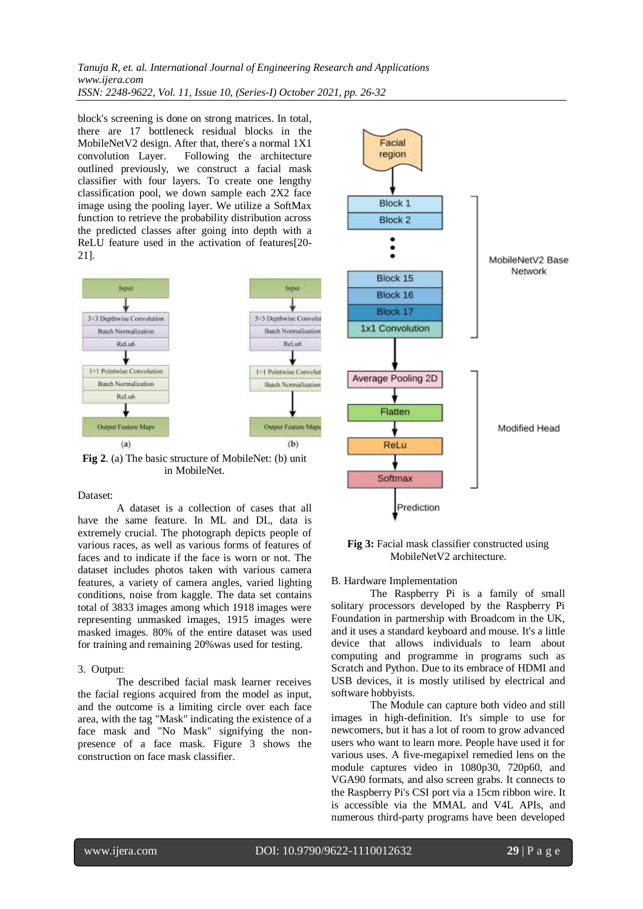*Tanuja R, et. al. International Journal of Engineering Research and Applications www.ijera.com ISSN: 2248-9622, Vol. 11, Issue 10, (Series-I) October 2021, pp. 26-32*

block's screening is done on strong matrices. In total, there are 17 bottleneck residual blocks in the MobileNetV2 design. After that, there's a normal 1X1 convolution Layer. Following the architecture outlined previously, we construct a facial mask classifier with four layers. To create one lengthy classification pool, we down sample each 2X2 face image using the pooling layer. We utilize a SoftMax

the predicted classes after going into depth with a ReLU feature used in the activation of features[20- 21].

function to retrieve the probability distribution across



**Fig 2**. (a) The basic structure of MobileNet: (b) unit in MobileNet.

#### Dataset:

A dataset is a collection of cases that all have the same feature. In ML and DL, data is extremely crucial. The photograph depicts people of various races, as well as various forms of features of faces and to indicate if the face is worn or not. The dataset includes photos taken with various camera features, a variety of camera angles, varied lighting conditions, noise from kaggle. The data set contains total of 3833 images among which 1918 images were representing unmasked images, 1915 images were masked images. 80% of the entire dataset was used for training and remaining 20%was used for testing.

#### 3. Output:

The described facial mask learner receives the facial regions acquired from the model as input, and the outcome is a limiting circle over each face area, with the tag "Mask" indicating the existence of a face mask and "No Mask" signifying the nonpresence of a face mask. Figure 3 shows the construction on face mask classifier.



**Fig 3:** Facial mask classifier constructed using MobileNetV2 architecture.

#### B. Hardware Implementation

The Raspberry Pi is a family of small solitary processors developed by the Raspberry Pi Foundation in partnership with Broadcom in the UK, and it uses a standard keyboard and mouse. It's a little device that allows individuals to learn about computing and programme in programs such as Scratch and Python. Due to its embrace of HDMI and USB devices, it is mostly utilised by electrical and software hobbyists.

The Module can capture both video and still images in high-definition. It's simple to use for newcomers, but it has a lot of room to grow advanced users who want to learn more. People have used it for various uses. A five-megapixel remedied lens on the module captures video in 1080p30, 720p60, and VGA90 formats, and also screen grabs. It connects to the Raspberry Pi's CSI port via a 15cm ribbon wire. It is accessible via the MMAL and V4L APIs, and numerous third-party programs have been developed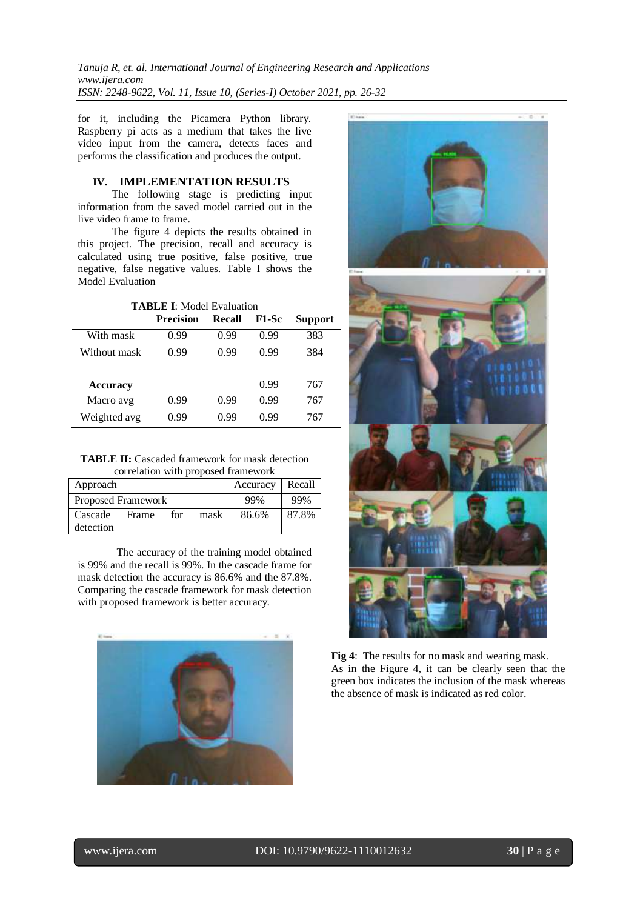*Tanuja R, et. al. International Journal of Engineering Research and Applications www.ijera.com ISSN: 2248-9622, Vol. 11, Issue 10, (Series-I) October 2021, pp. 26-32*

for it, including the Picamera Python library. Raspberry pi acts as a medium that takes the live video input from the camera, detects faces and performs the classification and produces the output.

# **IV. IMPLEMENTATION RESULTS**

The following stage is predicting input information from the saved model carried out in the live video frame to frame.

The figure 4 depicts the results obtained in this project. The precision, recall and accuracy is calculated using true positive, false positive, true negative, false negative values. Table I shows the Model Evaluation

| <b>TABLE I:</b> Model Evaluation |                  |        |       |                |  |  |  |  |
|----------------------------------|------------------|--------|-------|----------------|--|--|--|--|
|                                  | <b>Precision</b> | Recall | F1-Sc | <b>Support</b> |  |  |  |  |
| With mask                        | 0.99             | 0.99   | 0.99  | 383            |  |  |  |  |
| Without mask                     | 0.99             | 0.99   | 0.99  | 384            |  |  |  |  |
| <b>Accuracy</b>                  |                  |        | 0.99  | 767            |  |  |  |  |
| Macro avg                        | 0.99             | 0.99   | 0.99  | 767            |  |  |  |  |
| Weighted avg                     | 0.99             | 0.99   | 0.99  | 767            |  |  |  |  |

| <b>TABLE II:</b> Cascaded framework for mask detection |
|--------------------------------------------------------|
| correlation with proposed framework                    |

| Approach           |       |     |      | Accuracy | Recall |  |  |  |
|--------------------|-------|-----|------|----------|--------|--|--|--|
| Proposed Framework |       |     |      | 99%      | 99%    |  |  |  |
| Cascade            | Frame | for | mask | 86.6%    | 87.8%  |  |  |  |
| detection          |       |     |      |          |        |  |  |  |

The accuracy of the training model obtained is 99% and the recall is 99%. In the cascade frame for mask detection the accuracy is 86.6% and the 87.8%. Comparing the cascade framework for mask detection with proposed framework is better accuracy.





**Fig 4**: The results for no mask and wearing mask. As in the Figure 4, it can be clearly seen that the green box indicates the inclusion of the mask whereas the absence of mask is indicated as red color.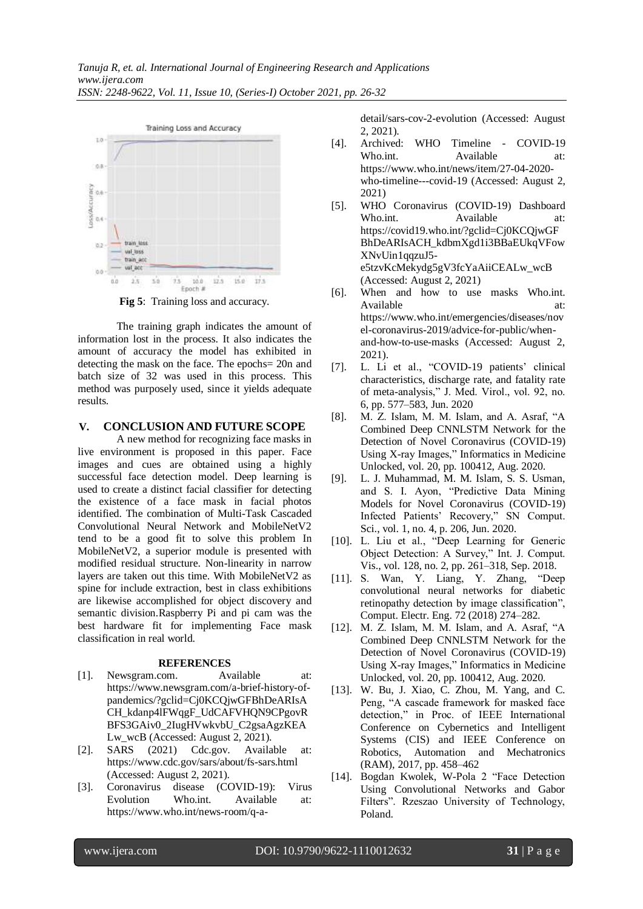

**Fig 5**: Training loss and accuracy.

The training graph indicates the amount of information lost in the process. It also indicates the amount of accuracy the model has exhibited in detecting the mask on the face. The epochs= 20n and batch size of 32 was used in this process. This method was purposely used, since it yields adequate results.

## **V. CONCLUSION AND FUTURE SCOPE**

A new method for recognizing face masks in live environment is proposed in this paper. Face images and cues are obtained using a highly successful face detection model. Deep learning is used to create a distinct facial classifier for detecting the existence of a face mask in facial photos identified. The combination of Multi-Task Cascaded Convolutional Neural Network and MobileNetV2 tend to be a good fit to solve this problem In MobileNetV2, a superior module is presented with modified residual structure. Non-linearity in narrow layers are taken out this time. With MobileNetV2 as spine for include extraction, best in class exhibitions are likewise accomplished for object discovery and semantic division.Raspberry Pi and pi cam was the best hardware fit for implementing Face mask classification in real world.

## **REFERENCES**

- [1]. Newsgram.com. Available at: https://www.newsgram.com/a-brief-history-ofpandemics/?gclid=Cj0KCQjwGFBhDeARIsA CH\_kdanp4lFWqgF\_UdCAFVHQN9CPgovR BFS3GAiv0\_2IugHVwkvbU\_C2gsaAgzKEA Lw\_wcB (Accessed: August 2, 2021).
- [2]. SARS (2021) Cdc.gov. Available at: https://www.cdc.gov/sars/about/fs-sars.html (Accessed: August 2, 2021).
- [3]. Coronavirus disease (COVID-19): Virus Evolution Who.int. Available at: https://www.who.int/news-room/q-a-

detail/sars-cov-2-evolution (Accessed: August 2, 2021).

- [4]. Archived: WHO Timeline COVID-19 Who.int. Available at: https://www.who.int/news/item/27-04-2020 who-timeline---covid-19 (Accessed: August 2, 2021)
- [5]. WHO Coronavirus (COVID-19) Dashboard Who.int. Available at: https://covid19.who.int/?gclid=Cj0KCQjwGF BhDeARIsACH\_kdbmXgd1i3BBaEUkqVFow XNvUin1qqzuJ5 e5tzvKcMekydg5gV3fcYaAiiCEALw\_wcB (Accessed: August 2, 2021)
- [6]. When and how to use masks Who.int. Available at: at: https://www.who.int/emergencies/diseases/nov el-coronavirus-2019/advice-for-public/whenand-how-to-use-masks (Accessed: August 2, 2021).
- [7]. L. Li et al., "COVID-19 patients' clinical characteristics, discharge rate, and fatality rate of meta-analysis," J. Med. Virol., vol. 92, no. 6, pp. 577–583, Jun. 2020
- [8]. M. Z. Islam, M. M. Islam, and A. Asraf, "A Combined Deep CNNLSTM Network for the Detection of Novel Coronavirus (COVID-19) Using X-ray Images," Informatics in Medicine Unlocked, vol. 20, pp. 100412, Aug. 2020.
- [9]. L. J. Muhammad, M. M. Islam, S. S. Usman, and S. I. Ayon, "Predictive Data Mining Models for Novel Coronavirus (COVID-19) Infected Patients' Recovery," SN Comput. Sci., vol. 1, no. 4, p. 206, Jun. 2020.
- [10]. L. Liu et al., "Deep Learning for Generic Object Detection: A Survey," Int. J. Comput. Vis., vol. 128, no. 2, pp. 261–318, Sep. 2018.
- [11]. S. Wan, Y. Liang, Y. Zhang, "Deep convolutional neural networks for diabetic retinopathy detection by image classification", Comput. Electr. Eng. 72 (2018) 274–282.
- [12]. M. Z. Islam, M. M. Islam, and A. Asraf, "A Combined Deep CNNLSTM Network for the Detection of Novel Coronavirus (COVID-19) Using X-ray Images," Informatics in Medicine Unlocked, vol. 20, pp. 100412, Aug. 2020.
- [13]. W. Bu, J. Xiao, C. Zhou, M. Yang, and C. Peng, "A cascade framework for masked face detection," in Proc. of IEEE International Conference on Cybernetics and Intelligent Systems (CIS) and IEEE Conference on Robotics, Automation and Mechatronics (RAM), 2017, pp. 458–462
- [14]. Bogdan Kwolek, W-Pola 2 "Face Detection Using Convolutional Networks and Gabor Filters". Rzeszao University of Technology, Poland.